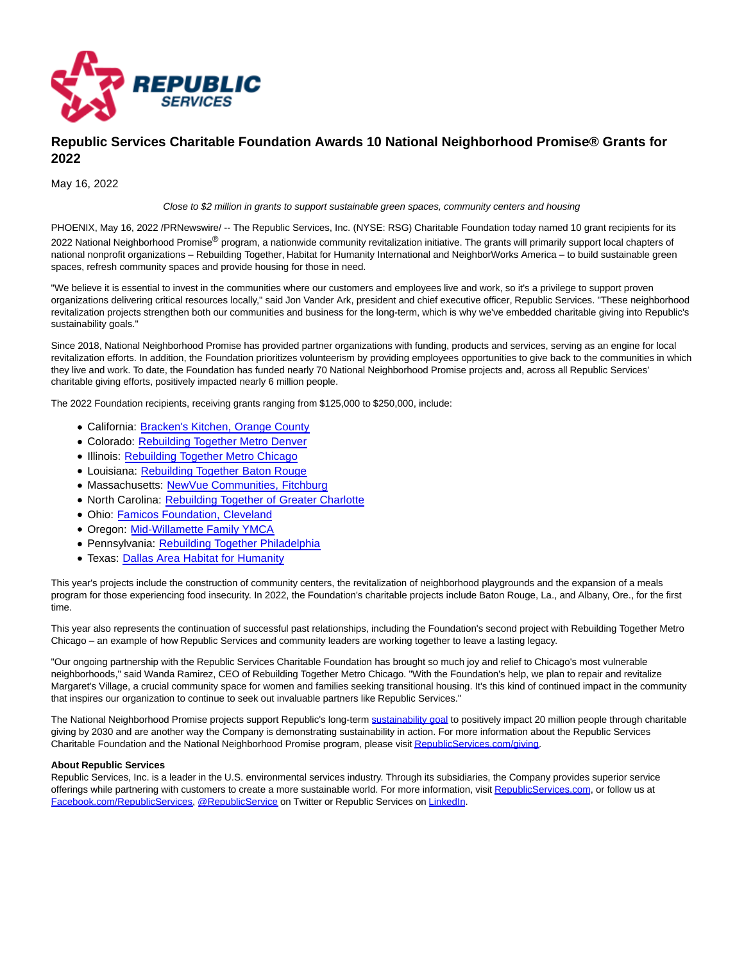

## **Republic Services Charitable Foundation Awards 10 National Neighborhood Promise® Grants for 2022**

May 16, 2022

Close to \$2 million in grants to support sustainable green spaces, community centers and housing

PHOENIX, May 16, 2022 /PRNewswire/ -- The Republic Services, Inc. (NYSE: RSG) Charitable Foundation today named 10 grant recipients for its 2022 National Neighborhood Promise® program, a nationwide community revitalization initiative. The grants will primarily support local chapters of national nonprofit organizations – Rebuilding Together, Habitat for Humanity International and NeighborWorks America – to build sustainable green spaces, refresh community spaces and provide housing for those in need.

"We believe it is essential to invest in the communities where our customers and employees live and work, so it's a privilege to support proven organizations delivering critical resources locally," said Jon Vander Ark, president and chief executive officer, Republic Services. "These neighborhood revitalization projects strengthen both our communities and business for the long-term, which is why we've embedded charitable giving into Republic's sustainability goals."

Since 2018, National Neighborhood Promise has provided partner organizations with funding, products and services, serving as an engine for local revitalization efforts. In addition, the Foundation prioritizes volunteerism by providing employees opportunities to give back to the communities in which they live and work. To date, the Foundation has funded nearly 70 National Neighborhood Promise projects and, across all Republic Services' charitable giving efforts, positively impacted nearly 6 million people.

The 2022 Foundation recipients, receiving grants ranging from \$125,000 to \$250,000, include:

- California: [Bracken's Kitchen, Orange County](https://c212.net/c/link/?t=0&l=en&o=3535946-1&h=267853932&u=https%3A%2F%2Fwww.brackenskitchen.org%2F%3Fmsclkid%3D448df9e0bc1811ecbc034ebf7b74dd89&a=Bracken%27s+Kitchen%2C+Orange+County)
- Colorado: [Rebuilding Together Metro Denver](https://c212.net/c/link/?t=0&l=en&o=3535946-1&h=2338673223&u=https%3A%2F%2Fwww.rebuildingdenver.org%2F%3Fmsclkid%3Dae2fa45fbc1f11eca3329c81e56714c1&a=Rebuilding+Together+Metro+Denver)
- **.** Illinois: [Rebuilding Together Metro Chicago](https://c212.net/c/link/?t=0&l=en&o=3535946-1&h=3749274724&u=http%3A%2F%2Fwww.rebuildingtogether-chi.com%2F%3Fmsclkid%3De8453ad9bc1e11ec8b625ce1f677b564&a=Rebuilding+Together+Metro+Chicago)
- Louisiana: [Rebuilding Together Baton Rouge](https://c212.net/c/link/?t=0&l=en&o=3535946-1&h=1616631136&u=https%3A%2F%2Furldefense.proofpoint.com%2Fv2%2Furl%3Fu%3Dhttps-3A__rtbr.org_-3Fmsclkid-3Dd60659ffbc1c11ecb471604fe4d496b0%26d%3DDwMGaQ%26c%3DslrrB7dE8n7gBJbeO0g-IQ%26r%3DjdhVDTHwgdBHKZ78nTQZNQ%26m%3DvgI1ukMlfqvSFAFE_H3V3mebW_cO4LnInK4n8EDQDojn4zrcm20PkDDcwHpCXpD1%26s%3Di93fjnrXZmOMSnTWvQzUsolWX0i42F3FQCRo_ZqX54o%26e%3D&a=Rebuilding+Together+Baton+Rouge)
- Massachusetts: [NewVue Communities, Fitchburg](https://c212.net/c/link/?t=0&l=en&o=3535946-1&h=3120566094&u=https%3A%2F%2Fnewvuecommunities.org%2F%3Fmsclkid%3Df8f147efbc1b11ec858dbcc4fe3dbd57&a=NewVue+Communities%2C+Fitchburg)
- North Carolina: [Rebuilding Together of Greater Charlotte](https://c212.net/c/link/?t=0&l=en&o=3535946-1&h=3680726493&u=https%3A%2F%2Fwww.rebuildingtogetherclt.org%2F%3Fmsclkid%3D8856d2bebc2411ec8465953e196569f3&a=Rebuilding+Together+of+Greater+Charlotte)
- Ohio: [Famicos Foundation, Cleveland](https://c212.net/c/link/?t=0&l=en&o=3535946-1&h=2605782668&u=https%3A%2F%2Fwww.famicos.org%2F%3Fmsclkid%3Daaebd93ebc1a11ec94c3b782e53fc1cb&a=Famicos+Foundation%2C+Cleveland)
- Oregon: [Mid-Willamette Family YMCA](https://c212.net/c/link/?t=0&l=en&o=3535946-1&h=3572747725&u=https%3A%2F%2Furldefense.com%2Fv3%2F__https%3A%2Fwww.ymcacw.org%2Fmission-history__%3B!!C_YaKJ7Yefs70IFr!zDF-Tdldyt9AfsRSiKZGKrB1JnRrLIhN0R-2qD8i1oMA9DXC_lWtnbslyFf5DMwed_gcgg%24&a=Mid-Willamette+Family+YMCA)
- Pennsylvania: [Rebuilding Together Philadelphia](https://c212.net/c/link/?t=0&l=en&o=3535946-1&h=3835930900&u=https%3A%2F%2Fwww.rebuildingphilly.org%2F%3Fmsclkid%3Dc5b50fcabc2711ec95930a0f6322d7cb&a=Rebuilding+Together+Philadelphia)
- Texas: [Dallas Area Habitat for Humanity](https://c212.net/c/link/?t=0&l=en&o=3535946-1&h=1855548420&u=https%3A%2F%2Fdallasareahabitat.org%2F%3Fmsclkid%3D07008309bc1911ecb4af264f44a79801&a=Dallas+Area+Habitat+for+Humanity)

This year's projects include the construction of community centers, the revitalization of neighborhood playgrounds and the expansion of a meals program for those experiencing food insecurity. In 2022, the Foundation's charitable projects include Baton Rouge, La., and Albany, Ore., for the first time.

This year also represents the continuation of successful past relationships, including the Foundation's second project with Rebuilding Together Metro Chicago – an example of how Republic Services and community leaders are working together to leave a lasting legacy.

"Our ongoing partnership with the Republic Services Charitable Foundation has brought so much joy and relief to Chicago's most vulnerable neighborhoods," said Wanda Ramirez, CEO of Rebuilding Together Metro Chicago. "With the Foundation's help, we plan to repair and revitalize Margaret's Village, a crucial community space for women and families seeking transitional housing. It's this kind of continued impact in the community that inspires our organization to continue to seek out invaluable partners like Republic Services."

The National Neighborhood Promise projects support Republic's long-term [sustainability goal t](https://c212.net/c/link/?t=0&l=en&o=3535946-1&h=2650206356&u=https%3A%2F%2Fwww.republicservices.com%2Fsustainability&a=sustainability+goal)o positively impact 20 million people through charitable giving by 2030 and are another way the Company is demonstrating sustainability in action. For more information about the Republic Services Charitable Foundation and the National Neighborhood Promise program, please visi[t RepublicServices.com/giving.](https://c212.net/c/link/?t=0&l=en&o=3535946-1&h=673536568&u=https%3A%2F%2Fwww.republicservices.com%2Fgiving&a=RepublicServices.com%2Fgiving)

## **About Republic Services**

Republic Services, Inc. is a leader in the U.S. environmental services industry. Through its subsidiaries, the Company provides superior service offerings while partnering with customers to create a more sustainable world. For more information, visi[t RepublicServices.com,](https://c212.net/c/link/?t=0&l=en&o=3535946-1&h=870378555&u=https%3A%2F%2Fc212.net%2Fc%2Flink%2F%3Ft%3D0%26l%3Den%26o%3D3404937-1%26h%3D676368477%26u%3Dhttps%253A%252F%252Frepublicservices.com%252F%26a%3DRepublicServices.com&a=RepublicServices.com) or follow us at [Facebook.com/RepublicServices,](https://c212.net/c/link/?t=0&l=en&o=3535946-1&h=4153200781&u=https%3A%2F%2Fc212.net%2Fc%2Flink%2F%3Ft%3D0%26l%3Den%26o%3D3404937-1%26h%3D1309540899%26u%3Dhttps%253A%252F%252Fwww.facebook.com%252FRepublicServices%26a%3DFacebook.com%252FRepublicServices&a=Facebook.com%2FRepublicServices) [@RepublicService o](https://c212.net/c/link/?t=0&l=en&o=3535946-1&h=2529824496&u=https%3A%2F%2Fc212.net%2Fc%2Flink%2F%3Ft%3D0%26l%3Den%26o%3D3404937-1%26h%3D2428907040%26u%3Dhttps%253A%252F%252Ftwitter.com%252FRepublicService%26a%3D%2540RepublicService&a=%40RepublicService)n Twitter or Republic Services o[n LinkedIn.](https://c212.net/c/link/?t=0&l=en&o=3535946-1&h=484684442&u=https%3A%2F%2Fc212.net%2Fc%2Flink%2F%3Ft%3D0%26l%3Den%26o%3D3404937-1%26h%3D3817163279%26u%3Dhttps%253A%252F%252Fwww.linkedin.com%252Fcompany%252Frepublic-services-inc%252F%26a%3DLinkedIn&a=LinkedIn)